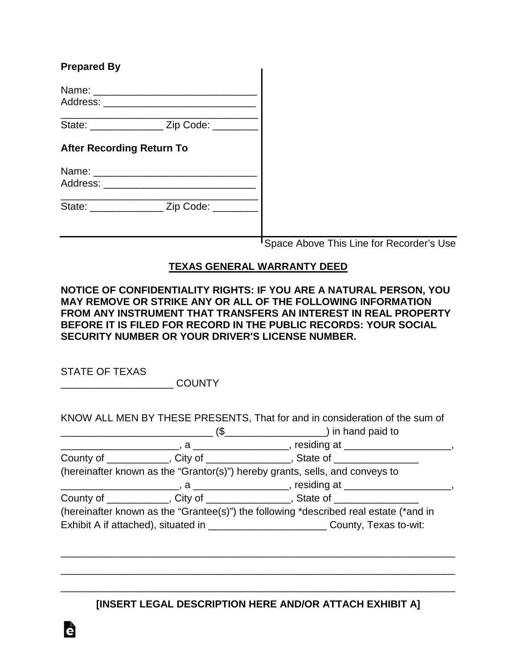| <b>Prepared By</b>                          |                                          |
|---------------------------------------------|------------------------------------------|
|                                             |                                          |
| State: __________________ Zip Code: _______ |                                          |
| <b>After Recording Return To</b>            |                                          |
|                                             |                                          |
| State: ___________________ Zip Code: ______ |                                          |
|                                             | Space Above This Line for Recorder's Use |

## **TEXAS GENERAL WARRANTY DEED**

## **NOTICE OF CONFIDENTIALITY RIGHTS: IF YOU ARE A NATURAL PERSON, YOU MAY REMOVE OR STRIKE ANY OR ALL OF THE FOLLOWING INFORMATION FROM ANY INSTRUMENT THAT TRANSFERS AN INTEREST IN REAL PROPERTY BEFORE IT IS FILED FOR RECORD IN THE PUBLIC RECORDS: YOUR SOCIAL SECURITY NUMBER OR YOUR DRIVER'S LICENSE NUMBER.**

STATE OF TEXAS

\_\_\_\_\_\_\_\_\_\_\_\_\_\_\_\_\_\_\_\_ COUNTY

|  | KNOW ALL MEN BY THESE PRESENTS, That for and in consideration of the sum of           |
|--|---------------------------------------------------------------------------------------|
|  |                                                                                       |
|  |                                                                                       |
|  | County of ____________, City of _______________, State of ________________            |
|  | (hereinafter known as the "Grantor(s)") hereby grants, sells, and conveys to          |
|  |                                                                                       |
|  | County of ____________, City of ______________, State of ______________               |
|  | (hereinafter known as the "Grantee(s)") the following *described real estate (*and in |
|  | Exhibit A if attached), situated in ___________________________County, Texas to-wit:  |

**[INSERT LEGAL DESCRIPTION HERE AND/OR ATTACH EXHIBIT A]**

\_\_\_\_\_\_\_\_\_\_\_\_\_\_\_\_\_\_\_\_\_\_\_\_\_\_\_\_\_\_\_\_\_\_\_\_\_\_\_\_\_\_\_\_\_\_\_\_\_\_\_\_\_\_\_\_\_\_\_\_\_\_\_\_\_\_\_\_\_\_

\_\_\_\_\_\_\_\_\_\_\_\_\_\_\_\_\_\_\_\_\_\_\_\_\_\_\_\_\_\_\_\_\_\_\_\_\_\_\_\_\_\_\_\_\_\_\_\_\_\_\_\_\_\_\_\_\_\_\_\_\_\_\_\_\_\_\_\_\_\_

\_\_\_\_\_\_\_\_\_\_\_\_\_\_\_\_\_\_\_\_\_\_\_\_\_\_\_\_\_\_\_\_\_\_\_\_\_\_\_\_\_\_\_\_\_\_\_\_\_\_\_\_\_\_\_\_\_\_\_\_\_\_\_\_\_\_\_\_\_\_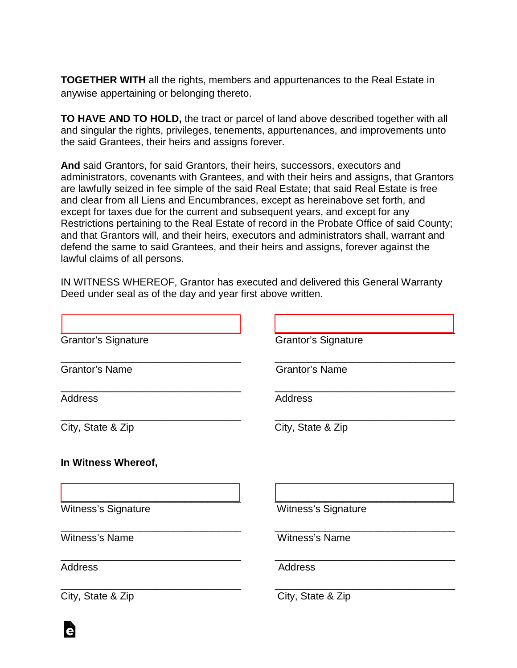**TOGETHER WITH** all the rights, members and appurtenances to the Real Estate in anywise appertaining or belonging thereto.

**TO HAVE AND TO HOLD,** the tract or parcel of land above described together with all and singular the rights, privileges, tenements, appurtenances, and improvements unto the said Grantees, their heirs and assigns forever.

**And** said Grantors, for said Grantors, their heirs, successors, executors and administrators, covenants with Grantees, and with their heirs and assigns, that Grantors are lawfully seized in fee simple of the said Real Estate; that said Real Estate is free and clear from all Liens and Encumbrances, except as hereinabove set forth, and except for taxes due for the current and subsequent years, and except for any Restrictions pertaining to the Real Estate of record in the Probate Office of said County; and that Grantors will, and their heirs, executors and administrators shall, warrant and defend the same to said Grantees, and their heirs and assigns, forever against the lawful claims of all persons.

IN WITNESS WHEREOF, Grantor has executed and delivered this General Warranty Deed under seal as of the day and year first above written.

| <b>Grantor's Signature</b> | <b>Grantor's Signature</b> |
|----------------------------|----------------------------|
| <b>Grantor's Name</b>      | <b>Grantor's Name</b>      |
| <b>Address</b>             | <b>Address</b>             |
| City, State & Zip          | City, State & Zip          |
| In Witness Whereof,        |                            |
| <b>Witness's Signature</b> | <b>Witness's Signature</b> |
| <b>Witness's Name</b>      | <b>Witness's Name</b>      |
| <b>Address</b>             | <b>Address</b>             |
| City, State & Zip          | City, State & Zip          |